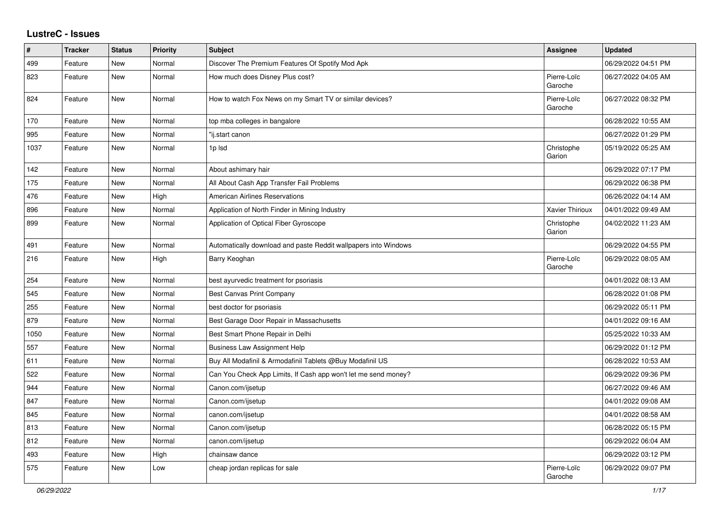## **LustreC - Issues**

| #    | <b>Tracker</b> | <b>Status</b> | <b>Priority</b> | <b>Subject</b>                                                  | Assignee               | <b>Updated</b>      |
|------|----------------|---------------|-----------------|-----------------------------------------------------------------|------------------------|---------------------|
| 499  | Feature        | <b>New</b>    | Normal          | Discover The Premium Features Of Spotify Mod Apk                |                        | 06/29/2022 04:51 PM |
| 823  | Feature        | <b>New</b>    | Normal          | How much does Disney Plus cost?                                 | Pierre-Loïc<br>Garoche | 06/27/2022 04:05 AM |
| 824  | Feature        | New           | Normal          | How to watch Fox News on my Smart TV or similar devices?        | Pierre-Loïc<br>Garoche | 06/27/2022 08:32 PM |
| 170  | Feature        | <b>New</b>    | Normal          | top mba colleges in bangalore                                   |                        | 06/28/2022 10:55 AM |
| 995  | Feature        | New           | Normal          | 'ij.start canon                                                 |                        | 06/27/2022 01:29 PM |
| 1037 | Feature        | New           | Normal          | 1p Isd                                                          | Christophe<br>Garion   | 05/19/2022 05:25 AM |
| 142  | Feature        | New           | Normal          | About ashimary hair                                             |                        | 06/29/2022 07:17 PM |
| 175  | Feature        | New           | Normal          | All About Cash App Transfer Fail Problems                       |                        | 06/29/2022 06:38 PM |
| 476  | Feature        | New           | High            | <b>American Airlines Reservations</b>                           |                        | 06/26/2022 04:14 AM |
| 896  | Feature        | New           | Normal          | Application of North Finder in Mining Industry                  | <b>Xavier Thirioux</b> | 04/01/2022 09:49 AM |
| 899  | Feature        | New           | Normal          | Application of Optical Fiber Gyroscope                          | Christophe<br>Garion   | 04/02/2022 11:23 AM |
| 491  | Feature        | New           | Normal          | Automatically download and paste Reddit wallpapers into Windows |                        | 06/29/2022 04:55 PM |
| 216  | Feature        | New           | High            | Barry Keoghan                                                   | Pierre-Loïc<br>Garoche | 06/29/2022 08:05 AM |
| 254  | Feature        | New           | Normal          | best ayurvedic treatment for psoriasis                          |                        | 04/01/2022 08:13 AM |
| 545  | Feature        | New           | Normal          | <b>Best Canvas Print Company</b>                                |                        | 06/28/2022 01:08 PM |
| 255  | Feature        | New           | Normal          | best doctor for psoriasis                                       |                        | 06/29/2022 05:11 PM |
| 879  | Feature        | New           | Normal          | Best Garage Door Repair in Massachusetts                        |                        | 04/01/2022 09:16 AM |
| 1050 | Feature        | <b>New</b>    | Normal          | Best Smart Phone Repair in Delhi                                |                        | 05/25/2022 10:33 AM |
| 557  | Feature        | New           | Normal          | <b>Business Law Assignment Help</b>                             |                        | 06/29/2022 01:12 PM |
| 611  | Feature        | New           | Normal          | Buy All Modafinil & Armodafinil Tablets @Buy Modafinil US       |                        | 06/28/2022 10:53 AM |
| 522  | Feature        | New           | Normal          | Can You Check App Limits, If Cash app won't let me send money?  |                        | 06/29/2022 09:36 PM |
| 944  | Feature        | New           | Normal          | Canon.com/ijsetup                                               |                        | 06/27/2022 09:46 AM |
| 847  | Feature        | New           | Normal          | Canon.com/ijsetup                                               |                        | 04/01/2022 09:08 AM |
| 845  | Feature        | New           | Normal          | canon.com/ijsetup                                               |                        | 04/01/2022 08:58 AM |
| 813  | Feature        | New           | Normal          | Canon.com/ijsetup                                               |                        | 06/28/2022 05:15 PM |
| 812  | Feature        | New           | Normal          | canon.com/ijsetup                                               |                        | 06/29/2022 06:04 AM |
| 493  | Feature        | New           | High            | chainsaw dance                                                  |                        | 06/29/2022 03:12 PM |
| 575  | Feature        | New           | Low             | cheap jordan replicas for sale                                  | Pierre-Loïc<br>Garoche | 06/29/2022 09:07 PM |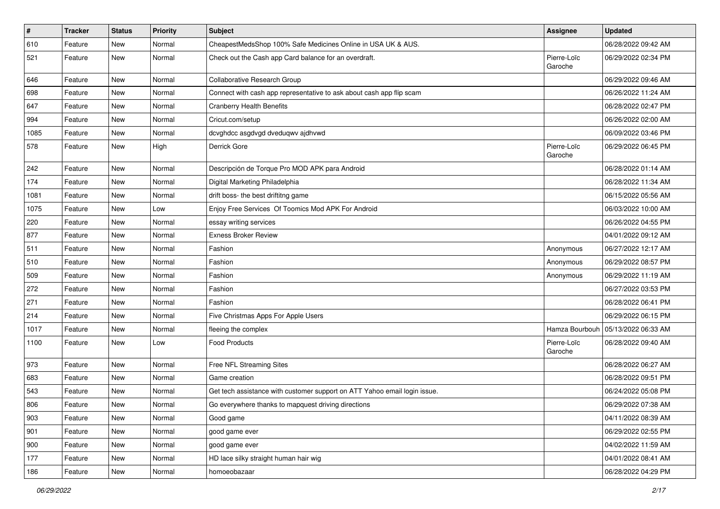| $\pmb{\#}$ | <b>Tracker</b> | <b>Status</b> | Priority | <b>Subject</b>                                                            | Assignee               | <b>Updated</b>      |
|------------|----------------|---------------|----------|---------------------------------------------------------------------------|------------------------|---------------------|
| 610        | Feature        | New           | Normal   | CheapestMedsShop 100% Safe Medicines Online in USA UK & AUS.              |                        | 06/28/2022 09:42 AM |
| 521        | Feature        | New           | Normal   | Check out the Cash app Card balance for an overdraft.                     | Pierre-Loïc<br>Garoche | 06/29/2022 02:34 PM |
| 646        | Feature        | New           | Normal   | Collaborative Research Group                                              |                        | 06/29/2022 09:46 AM |
| 698        | Feature        | New           | Normal   | Connect with cash app representative to ask about cash app flip scam      |                        | 06/26/2022 11:24 AM |
| 647        | Feature        | New           | Normal   | <b>Cranberry Health Benefits</b>                                          |                        | 06/28/2022 02:47 PM |
| 994        | Feature        | New           | Normal   | Cricut.com/setup                                                          |                        | 06/26/2022 02:00 AM |
| 1085       | Feature        | New           | Normal   | dcvghdcc asgdvgd dveduqwv ajdhvwd                                         |                        | 06/09/2022 03:46 PM |
| 578        | Feature        | New           | High     | Derrick Gore                                                              | Pierre-Loïc<br>Garoche | 06/29/2022 06:45 PM |
| 242        | Feature        | New           | Normal   | Descripción de Torque Pro MOD APK para Android                            |                        | 06/28/2022 01:14 AM |
| 174        | Feature        | New           | Normal   | Digital Marketing Philadelphia                                            |                        | 06/28/2022 11:34 AM |
| 1081       | Feature        | New           | Normal   | drift boss- the best driftitng game                                       |                        | 06/15/2022 05:56 AM |
| 1075       | Feature        | New           | Low      | Enjoy Free Services Of Toomics Mod APK For Android                        |                        | 06/03/2022 10:00 AM |
| 220        | Feature        | New           | Normal   | essay writing services                                                    |                        | 06/26/2022 04:55 PM |
| 877        | Feature        | New           | Normal   | <b>Exness Broker Review</b>                                               |                        | 04/01/2022 09:12 AM |
| 511        | Feature        | New           | Normal   | Fashion                                                                   | Anonymous              | 06/27/2022 12:17 AM |
| 510        | Feature        | New           | Normal   | Fashion                                                                   | Anonymous              | 06/29/2022 08:57 PM |
| 509        | Feature        | New           | Normal   | Fashion                                                                   | Anonymous              | 06/29/2022 11:19 AM |
| 272        | Feature        | New           | Normal   | Fashion                                                                   |                        | 06/27/2022 03:53 PM |
| 271        | Feature        | New           | Normal   | Fashion                                                                   |                        | 06/28/2022 06:41 PM |
| 214        | Feature        | New           | Normal   | Five Christmas Apps For Apple Users                                       |                        | 06/29/2022 06:15 PM |
| 1017       | Feature        | New           | Normal   | fleeing the complex                                                       | Hamza Bourbouh         | 05/13/2022 06:33 AM |
| 1100       | Feature        | New           | Low      | <b>Food Products</b>                                                      | Pierre-Loïc<br>Garoche | 06/28/2022 09:40 AM |
| 973        | Feature        | New           | Normal   | Free NFL Streaming Sites                                                  |                        | 06/28/2022 06:27 AM |
| 683        | Feature        | New           | Normal   | Game creation                                                             |                        | 06/28/2022 09:51 PM |
| 543        | Feature        | New           | Normal   | Get tech assistance with customer support on ATT Yahoo email login issue. |                        | 06/24/2022 05:08 PM |
| 806        | Feature        | New           | Normal   | Go everywhere thanks to mapquest driving directions                       |                        | 06/29/2022 07:38 AM |
| 903        | Feature        | New           | Normal   | Good game                                                                 |                        | 04/11/2022 08:39 AM |
| 901        | Feature        | New           | Normal   | good game ever                                                            |                        | 06/29/2022 02:55 PM |
| 900        | Feature        | New           | Normal   | good game ever                                                            |                        | 04/02/2022 11:59 AM |
| 177        | Feature        | New           | Normal   | HD lace silky straight human hair wig                                     |                        | 04/01/2022 08:41 AM |
| 186        | Feature        | New           | Normal   | homoeobazaar                                                              |                        | 06/28/2022 04:29 PM |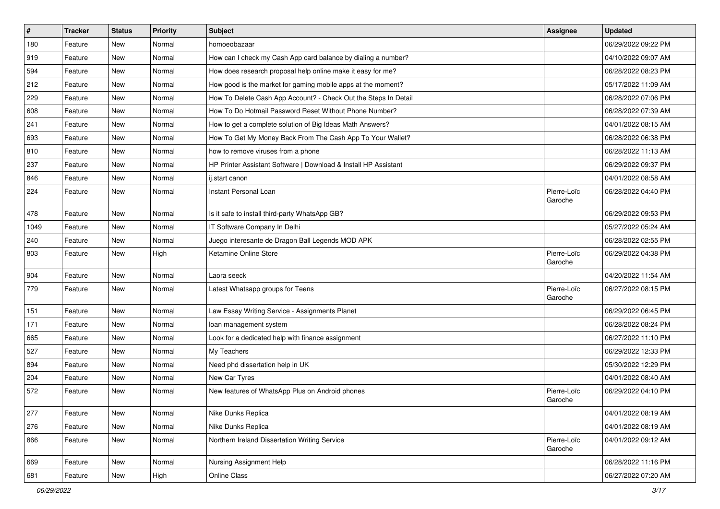| $\vert$ # | <b>Tracker</b> | <b>Status</b> | <b>Priority</b> | <b>Subject</b>                                                  | Assignee               | <b>Updated</b>      |
|-----------|----------------|---------------|-----------------|-----------------------------------------------------------------|------------------------|---------------------|
| 180       | Feature        | New           | Normal          | homoeobazaar                                                    |                        | 06/29/2022 09:22 PM |
| 919       | Feature        | <b>New</b>    | Normal          | How can I check my Cash App card balance by dialing a number?   |                        | 04/10/2022 09:07 AM |
| 594       | Feature        | New           | Normal          | How does research proposal help online make it easy for me?     |                        | 06/28/2022 08:23 PM |
| 212       | Feature        | New           | Normal          | How good is the market for gaming mobile apps at the moment?    |                        | 05/17/2022 11:09 AM |
| 229       | Feature        | <b>New</b>    | Normal          | How To Delete Cash App Account? - Check Out the Steps In Detail |                        | 06/28/2022 07:06 PM |
| 608       | Feature        | New           | Normal          | How To Do Hotmail Password Reset Without Phone Number?          |                        | 06/28/2022 07:39 AM |
| 241       | Feature        | New           | Normal          | How to get a complete solution of Big Ideas Math Answers?       |                        | 04/01/2022 08:15 AM |
| 693       | Feature        | New           | Normal          | How To Get My Money Back From The Cash App To Your Wallet?      |                        | 06/28/2022 06:38 PM |
| 810       | Feature        | <b>New</b>    | Normal          | how to remove viruses from a phone                              |                        | 06/28/2022 11:13 AM |
| 237       | Feature        | New           | Normal          | HP Printer Assistant Software   Download & Install HP Assistant |                        | 06/29/2022 09:37 PM |
| 846       | Feature        | New           | Normal          | ij.start canon                                                  |                        | 04/01/2022 08:58 AM |
| 224       | Feature        | New           | Normal          | Instant Personal Loan                                           | Pierre-Loïc<br>Garoche | 06/28/2022 04:40 PM |
| 478       | Feature        | <b>New</b>    | Normal          | Is it safe to install third-party WhatsApp GB?                  |                        | 06/29/2022 09:53 PM |
| 1049      | Feature        | <b>New</b>    | Normal          | IT Software Company In Delhi                                    |                        | 05/27/2022 05:24 AM |
| 240       | Feature        | New           | Normal          | Juego interesante de Dragon Ball Legends MOD APK                |                        | 06/28/2022 02:55 PM |
| 803       | Feature        | New           | High            | Ketamine Online Store                                           | Pierre-Loïc<br>Garoche | 06/29/2022 04:38 PM |
| 904       | Feature        | <b>New</b>    | Normal          | Laora seeck                                                     |                        | 04/20/2022 11:54 AM |
| 779       | Feature        | New           | Normal          | Latest Whatsapp groups for Teens                                | Pierre-Loïc<br>Garoche | 06/27/2022 08:15 PM |
| 151       | Feature        | <b>New</b>    | Normal          | Law Essay Writing Service - Assignments Planet                  |                        | 06/29/2022 06:45 PM |
| 171       | Feature        | <b>New</b>    | Normal          | loan management system                                          |                        | 06/28/2022 08:24 PM |
| 665       | Feature        | New           | Normal          | Look for a dedicated help with finance assignment               |                        | 06/27/2022 11:10 PM |
| 527       | Feature        | <b>New</b>    | Normal          | My Teachers                                                     |                        | 06/29/2022 12:33 PM |
| 894       | Feature        | <b>New</b>    | Normal          | Need phd dissertation help in UK                                |                        | 05/30/2022 12:29 PM |
| 204       | Feature        | New           | Normal          | New Car Tyres                                                   |                        | 04/01/2022 08:40 AM |
| 572       | Feature        | New           | Normal          | New features of WhatsApp Plus on Android phones                 | Pierre-Loïc<br>Garoche | 06/29/2022 04:10 PM |
| 277       | Feature        | New           | Normal          | Nike Dunks Replica                                              |                        | 04/01/2022 08:19 AM |
| 276       | Feature        | <b>New</b>    | Normal          | Nike Dunks Replica                                              |                        | 04/01/2022 08:19 AM |
| 866       | Feature        | New           | Normal          | Northern Ireland Dissertation Writing Service                   | Pierre-Loïc<br>Garoche | 04/01/2022 09:12 AM |
| 669       | Feature        | <b>New</b>    | Normal          | Nursing Assignment Help                                         |                        | 06/28/2022 11:16 PM |
| 681       | Feature        | New           | High            | Online Class                                                    |                        | 06/27/2022 07:20 AM |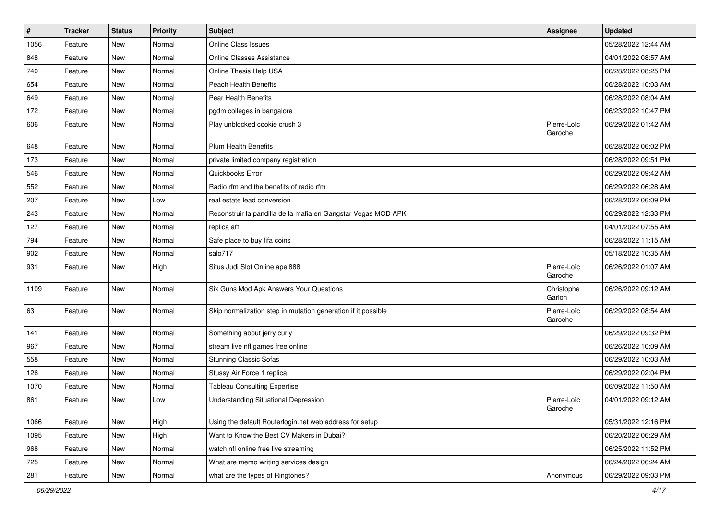| $\vert$ # | <b>Tracker</b> | <b>Status</b> | <b>Priority</b> | <b>Subject</b>                                                | <b>Assignee</b>        | <b>Updated</b>      |
|-----------|----------------|---------------|-----------------|---------------------------------------------------------------|------------------------|---------------------|
| 1056      | Feature        | New           | Normal          | <b>Online Class Issues</b>                                    |                        | 05/28/2022 12:44 AM |
| 848       | Feature        | <b>New</b>    | Normal          | <b>Online Classes Assistance</b>                              |                        | 04/01/2022 08:57 AM |
| 740       | Feature        | New           | Normal          | Online Thesis Help USA                                        |                        | 06/28/2022 08:25 PM |
| 654       | Feature        | New           | Normal          | <b>Peach Health Benefits</b>                                  |                        | 06/28/2022 10:03 AM |
| 649       | Feature        | <b>New</b>    | Normal          | Pear Health Benefits                                          |                        | 06/28/2022 08:04 AM |
| 172       | Feature        | New           | Normal          | pgdm colleges in bangalore                                    |                        | 06/23/2022 10:47 PM |
| 606       | Feature        | New           | Normal          | Play unblocked cookie crush 3                                 | Pierre-Loïc<br>Garoche | 06/29/2022 01:42 AM |
| 648       | Feature        | <b>New</b>    | Normal          | <b>Plum Health Benefits</b>                                   |                        | 06/28/2022 06:02 PM |
| 173       | Feature        | <b>New</b>    | Normal          | private limited company registration                          |                        | 06/28/2022 09:51 PM |
| 546       | Feature        | New           | Normal          | Quickbooks Error                                              |                        | 06/29/2022 09:42 AM |
| 552       | Feature        | New           | Normal          | Radio rfm and the benefits of radio rfm                       |                        | 06/29/2022 06:28 AM |
| 207       | Feature        | <b>New</b>    | Low             | real estate lead conversion                                   |                        | 06/28/2022 06:09 PM |
| 243       | Feature        | New           | Normal          | Reconstruir la pandilla de la mafia en Gangstar Vegas MOD APK |                        | 06/29/2022 12:33 PM |
| 127       | Feature        | New           | Normal          | replica af1                                                   |                        | 04/01/2022 07:55 AM |
| 794       | Feature        | New           | Normal          | Safe place to buy fifa coins                                  |                        | 06/28/2022 11:15 AM |
| 902       | Feature        | <b>New</b>    | Normal          | salo717                                                       |                        | 05/18/2022 10:35 AM |
| 931       | Feature        | <b>New</b>    | High            | Situs Judi Slot Online apel888                                | Pierre-Loïc<br>Garoche | 06/26/2022 01:07 AM |
| 1109      | Feature        | New           | Normal          | Six Guns Mod Apk Answers Your Questions                       | Christophe<br>Garion   | 06/26/2022 09:12 AM |
| 63        | Feature        | <b>New</b>    | Normal          | Skip normalization step in mutation generation if it possible | Pierre-Loïc<br>Garoche | 06/29/2022 08:54 AM |
| 141       | Feature        | <b>New</b>    | Normal          | Something about jerry curly                                   |                        | 06/29/2022 09:32 PM |
| 967       | Feature        | New           | Normal          | stream live nfl games free online                             |                        | 06/26/2022 10:09 AM |
| 558       | Feature        | <b>New</b>    | Normal          | <b>Stunning Classic Sofas</b>                                 |                        | 06/29/2022 10:03 AM |
| 126       | Feature        | New           | Normal          | Stussy Air Force 1 replica                                    |                        | 06/29/2022 02:04 PM |
| 1070      | Feature        | New           | Normal          | <b>Tableau Consulting Expertise</b>                           |                        | 06/09/2022 11:50 AM |
| 861       | Feature        | <b>New</b>    | Low             | <b>Understanding Situational Depression</b>                   | Pierre-Loïc<br>Garoche | 04/01/2022 09:12 AM |
| 1066      | Feature        | <b>New</b>    | High            | Using the default Routerlogin.net web address for setup       |                        | 05/31/2022 12:16 PM |
| 1095      | Feature        | New           | High            | Want to Know the Best CV Makers in Dubai?                     |                        | 06/20/2022 06:29 AM |
| 968       | Feature        | New           | Normal          | watch nfl online free live streaming                          |                        | 06/25/2022 11:52 PM |
| 725       | Feature        | New           | Normal          | What are memo writing services design                         |                        | 06/24/2022 06:24 AM |
| 281       | Feature        | New           | Normal          | what are the types of Ringtones?                              | Anonymous              | 06/29/2022 09:03 PM |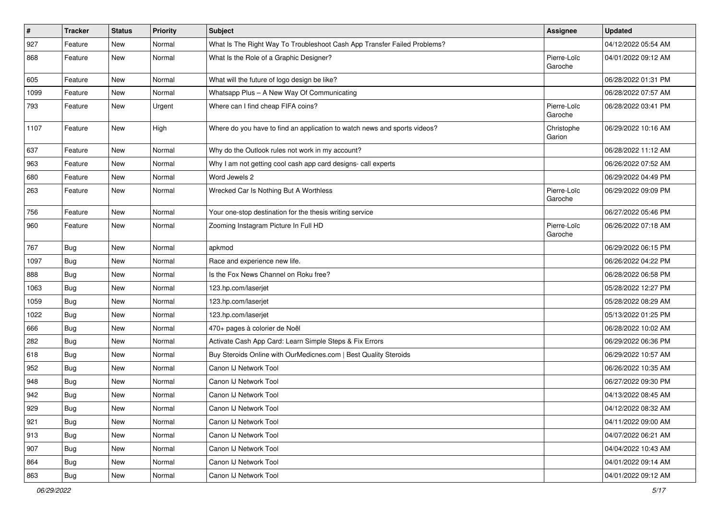| $\pmb{\#}$ | <b>Tracker</b> | <b>Status</b> | <b>Priority</b> | <b>Subject</b>                                                            | Assignee               | <b>Updated</b>      |
|------------|----------------|---------------|-----------------|---------------------------------------------------------------------------|------------------------|---------------------|
| 927        | Feature        | New           | Normal          | What Is The Right Way To Troubleshoot Cash App Transfer Failed Problems?  |                        | 04/12/2022 05:54 AM |
| 868        | Feature        | New           | Normal          | What Is the Role of a Graphic Designer?                                   | Pierre-Loïc<br>Garoche | 04/01/2022 09:12 AM |
| 605        | Feature        | New           | Normal          | What will the future of logo design be like?                              |                        | 06/28/2022 01:31 PM |
| 1099       | Feature        | New           | Normal          | Whatsapp Plus - A New Way Of Communicating                                |                        | 06/28/2022 07:57 AM |
| 793        | Feature        | New           | Urgent          | Where can I find cheap FIFA coins?                                        | Pierre-Loïc<br>Garoche | 06/28/2022 03:41 PM |
| 1107       | Feature        | New           | High            | Where do you have to find an application to watch news and sports videos? | Christophe<br>Garion   | 06/29/2022 10:16 AM |
| 637        | Feature        | New           | Normal          | Why do the Outlook rules not work in my account?                          |                        | 06/28/2022 11:12 AM |
| 963        | Feature        | New           | Normal          | Why I am not getting cool cash app card designs- call experts             |                        | 06/26/2022 07:52 AM |
| 680        | Feature        | New           | Normal          | Word Jewels 2                                                             |                        | 06/29/2022 04:49 PM |
| 263        | Feature        | New           | Normal          | Wrecked Car Is Nothing But A Worthless                                    | Pierre-Loïc<br>Garoche | 06/29/2022 09:09 PM |
| 756        | Feature        | New           | Normal          | Your one-stop destination for the thesis writing service                  |                        | 06/27/2022 05:46 PM |
| 960        | Feature        | New           | Normal          | Zooming Instagram Picture In Full HD                                      | Pierre-Loïc<br>Garoche | 06/26/2022 07:18 AM |
| 767        | Bug            | New           | Normal          | apkmod                                                                    |                        | 06/29/2022 06:15 PM |
| 1097       | <b>Bug</b>     | New           | Normal          | Race and experience new life.                                             |                        | 06/26/2022 04:22 PM |
| 888        | <b>Bug</b>     | New           | Normal          | Is the Fox News Channel on Roku free?                                     |                        | 06/28/2022 06:58 PM |
| 1063       | Bug            | New           | Normal          | 123.hp.com/laserjet                                                       |                        | 05/28/2022 12:27 PM |
| 1059       | Bug            | New           | Normal          | 123.hp.com/laserjet                                                       |                        | 05/28/2022 08:29 AM |
| 1022       | <b>Bug</b>     | New           | Normal          | 123.hp.com/laserjet                                                       |                        | 05/13/2022 01:25 PM |
| 666        | Bug            | New           | Normal          | 470+ pages à colorier de Noël                                             |                        | 06/28/2022 10:02 AM |
| 282        | <b>Bug</b>     | New           | Normal          | Activate Cash App Card: Learn Simple Steps & Fix Errors                   |                        | 06/29/2022 06:36 PM |
| 618        | Bug            | New           | Normal          | Buy Steroids Online with OurMedicnes.com   Best Quality Steroids          |                        | 06/29/2022 10:57 AM |
| 952        | Bug            | New           | Normal          | Canon IJ Network Tool                                                     |                        | 06/26/2022 10:35 AM |
| 948        | <b>Bug</b>     | New           | Normal          | Canon IJ Network Tool                                                     |                        | 06/27/2022 09:30 PM |
| 942        | Bug            | New           | Normal          | Canon IJ Network Tool                                                     |                        | 04/13/2022 08:45 AM |
| 929        | Bug            | New           | Normal          | Canon IJ Network Tool                                                     |                        | 04/12/2022 08:32 AM |
| 921        | <b>Bug</b>     | New           | Normal          | Canon IJ Network Tool                                                     |                        | 04/11/2022 09:00 AM |
| 913        | <b>Bug</b>     | New           | Normal          | Canon IJ Network Tool                                                     |                        | 04/07/2022 06:21 AM |
| 907        | <b>Bug</b>     | New           | Normal          | Canon IJ Network Tool                                                     |                        | 04/04/2022 10:43 AM |
| 864        | <b>Bug</b>     | New           | Normal          | Canon IJ Network Tool                                                     |                        | 04/01/2022 09:14 AM |
| 863        | <b>Bug</b>     | New           | Normal          | Canon IJ Network Tool                                                     |                        | 04/01/2022 09:12 AM |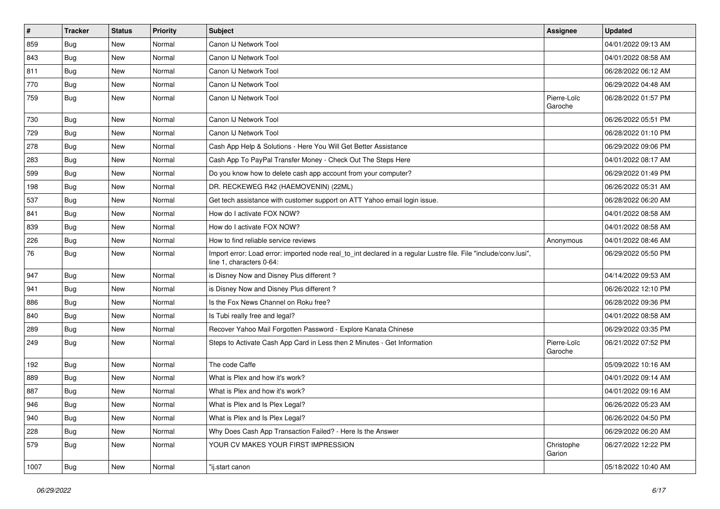| $\vert$ # | <b>Tracker</b> | <b>Status</b> | <b>Priority</b> | Subject                                                                                                                                      | <b>Assignee</b>        | <b>Updated</b>      |
|-----------|----------------|---------------|-----------------|----------------------------------------------------------------------------------------------------------------------------------------------|------------------------|---------------------|
| 859       | <b>Bug</b>     | New           | Normal          | Canon IJ Network Tool                                                                                                                        |                        | 04/01/2022 09:13 AM |
| 843       | Bug            | New           | Normal          | Canon IJ Network Tool                                                                                                                        |                        | 04/01/2022 08:58 AM |
| 811       | Bug            | New           | Normal          | Canon IJ Network Tool                                                                                                                        |                        | 06/28/2022 06:12 AM |
| 770       | Bug            | New           | Normal          | Canon IJ Network Tool                                                                                                                        |                        | 06/29/2022 04:48 AM |
| 759       | <b>Bug</b>     | New           | Normal          | Canon IJ Network Tool                                                                                                                        | Pierre-Loïc<br>Garoche | 06/28/2022 01:57 PM |
| 730       | Bug            | <b>New</b>    | Normal          | Canon IJ Network Tool                                                                                                                        |                        | 06/26/2022 05:51 PM |
| 729       | Bug            | <b>New</b>    | Normal          | Canon IJ Network Tool                                                                                                                        |                        | 06/28/2022 01:10 PM |
| 278       | Bug            | New           | Normal          | Cash App Help & Solutions - Here You Will Get Better Assistance                                                                              |                        | 06/29/2022 09:06 PM |
| 283       | Bug            | New           | Normal          | Cash App To PayPal Transfer Money - Check Out The Steps Here                                                                                 |                        | 04/01/2022 08:17 AM |
| 599       | Bug            | New           | Normal          | Do you know how to delete cash app account from your computer?                                                                               |                        | 06/29/2022 01:49 PM |
| 198       | Bug            | New           | Normal          | DR. RECKEWEG R42 (HAEMOVENIN) (22ML)                                                                                                         |                        | 06/26/2022 05:31 AM |
| 537       | Bug            | <b>New</b>    | Normal          | Get tech assistance with customer support on ATT Yahoo email login issue.                                                                    |                        | 06/28/2022 06:20 AM |
| 841       | Bug            | New           | Normal          | How do I activate FOX NOW?                                                                                                                   |                        | 04/01/2022 08:58 AM |
| 839       | Bug            | New           | Normal          | How do I activate FOX NOW?                                                                                                                   |                        | 04/01/2022 08:58 AM |
| 226       | Bug            | New           | Normal          | How to find reliable service reviews                                                                                                         | Anonymous              | 04/01/2022 08:46 AM |
| 76        | Bug            | New           | Normal          | Import error: Load error: imported node real_to_int declared in a regular Lustre file. File "include/conv.lusi",<br>line 1, characters 0-64: |                        | 06/29/2022 05:50 PM |
| 947       | <b>Bug</b>     | New           | Normal          | is Disney Now and Disney Plus different?                                                                                                     |                        | 04/14/2022 09:53 AM |
| 941       | <b>Bug</b>     | New           | Normal          | is Disney Now and Disney Plus different?                                                                                                     |                        | 06/26/2022 12:10 PM |
| 886       | Bug            | <b>New</b>    | Normal          | Is the Fox News Channel on Roku free?                                                                                                        |                        | 06/28/2022 09:36 PM |
| 840       | Bug            | New           | Normal          | Is Tubi really free and legal?                                                                                                               |                        | 04/01/2022 08:58 AM |
| 289       | Bug            | New           | Normal          | Recover Yahoo Mail Forgotten Password - Explore Kanata Chinese                                                                               |                        | 06/29/2022 03:35 PM |
| 249       | <b>Bug</b>     | New           | Normal          | Steps to Activate Cash App Card in Less then 2 Minutes - Get Information                                                                     | Pierre-Loïc<br>Garoche | 06/21/2022 07:52 PM |
| 192       | Bug            | <b>New</b>    | Normal          | The code Caffe                                                                                                                               |                        | 05/09/2022 10:16 AM |
| 889       | Bug            | New           | Normal          | What is Plex and how it's work?                                                                                                              |                        | 04/01/2022 09:14 AM |
| 887       | Bug            | New           | Normal          | What is Plex and how it's work?                                                                                                              |                        | 04/01/2022 09:16 AM |
| 946       | Bug            | New           | Normal          | What is Plex and Is Plex Legal?                                                                                                              |                        | 06/26/2022 05:23 AM |
| 940       | <b>Bug</b>     | New           | Normal          | What is Plex and Is Plex Legal?                                                                                                              |                        | 06/26/2022 04:50 PM |
| 228       | <b>Bug</b>     | New           | Normal          | Why Does Cash App Transaction Failed? - Here Is the Answer                                                                                   |                        | 06/29/2022 06:20 AM |
| 579       | Bug            | New           | Normal          | YOUR CV MAKES YOUR FIRST IMPRESSION                                                                                                          | Christophe<br>Garion   | 06/27/2022 12:22 PM |
| 1007      | <b>Bug</b>     | New           | Normal          | "ij.start canon                                                                                                                              |                        | 05/18/2022 10:40 AM |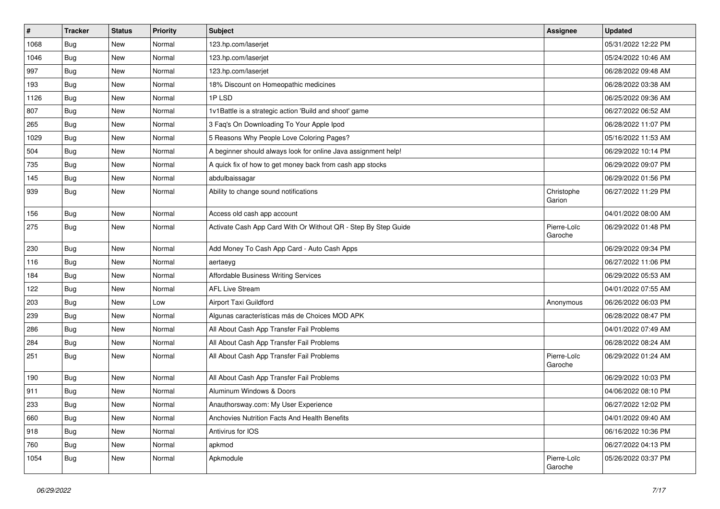| #    | <b>Tracker</b> | <b>Status</b> | <b>Priority</b> | <b>Subject</b>                                                 | <b>Assignee</b>        | <b>Updated</b>      |
|------|----------------|---------------|-----------------|----------------------------------------------------------------|------------------------|---------------------|
| 1068 | <b>Bug</b>     | New           | Normal          | 123.hp.com/laserjet                                            |                        | 05/31/2022 12:22 PM |
| 1046 | <b>Bug</b>     | New           | Normal          | 123.hp.com/laserjet                                            |                        | 05/24/2022 10:46 AM |
| 997  | Bug            | New           | Normal          | 123.hp.com/laserjet                                            |                        | 06/28/2022 09:48 AM |
| 193  | Bug            | New           | Normal          | 18% Discount on Homeopathic medicines                          |                        | 06/28/2022 03:38 AM |
| 1126 | <b>Bug</b>     | New           | Normal          | 1PLSD                                                          |                        | 06/25/2022 09:36 AM |
| 807  | Bug            | New           | Normal          | 1v1Battle is a strategic action 'Build and shoot' game         |                        | 06/27/2022 06:52 AM |
| 265  | Bug            | New           | Normal          | 3 Faq's On Downloading To Your Apple Ipod                      |                        | 06/28/2022 11:07 PM |
| 1029 | Bug            | New           | Normal          | 5 Reasons Why People Love Coloring Pages?                      |                        | 05/16/2022 11:53 AM |
| 504  | Bug            | New           | Normal          | A beginner should always look for online Java assignment help! |                        | 06/29/2022 10:14 PM |
| 735  | Bug            | New           | Normal          | A quick fix of how to get money back from cash app stocks      |                        | 06/29/2022 09:07 PM |
| 145  | <b>Bug</b>     | New           | Normal          | abdulbaissagar                                                 |                        | 06/29/2022 01:56 PM |
| 939  | Bug            | New           | Normal          | Ability to change sound notifications                          | Christophe<br>Garion   | 06/27/2022 11:29 PM |
| 156  | Bug            | New           | Normal          | Access old cash app account                                    |                        | 04/01/2022 08:00 AM |
| 275  | <b>Bug</b>     | New           | Normal          | Activate Cash App Card With Or Without QR - Step By Step Guide | Pierre-Loïc<br>Garoche | 06/29/2022 01:48 PM |
| 230  | Bug            | New           | Normal          | Add Money To Cash App Card - Auto Cash Apps                    |                        | 06/29/2022 09:34 PM |
| 116  | <b>Bug</b>     | New           | Normal          | aertaeyg                                                       |                        | 06/27/2022 11:06 PM |
| 184  | <b>Bug</b>     | New           | Normal          | Affordable Business Writing Services                           |                        | 06/29/2022 05:53 AM |
| 122  | Bug            | New           | Normal          | <b>AFL Live Stream</b>                                         |                        | 04/01/2022 07:55 AM |
| 203  | <b>Bug</b>     | New           | Low             | Airport Taxi Guildford                                         | Anonymous              | 06/26/2022 06:03 PM |
| 239  | Bug            | New           | Normal          | Algunas características más de Choices MOD APK                 |                        | 06/28/2022 08:47 PM |
| 286  | Bug            | New           | Normal          | All About Cash App Transfer Fail Problems                      |                        | 04/01/2022 07:49 AM |
| 284  | <b>Bug</b>     | New           | Normal          | All About Cash App Transfer Fail Problems                      |                        | 06/28/2022 08:24 AM |
| 251  | <b>Bug</b>     | New           | Normal          | All About Cash App Transfer Fail Problems                      | Pierre-Loïc<br>Garoche | 06/29/2022 01:24 AM |
| 190  | Bug            | New           | Normal          | All About Cash App Transfer Fail Problems                      |                        | 06/29/2022 10:03 PM |
| 911  | <b>Bug</b>     | New           | Normal          | Aluminum Windows & Doors                                       |                        | 04/06/2022 08:10 PM |
| 233  | Bug            | New           | Normal          | Anauthorsway.com: My User Experience                           |                        | 06/27/2022 12:02 PM |
| 660  | Bug            | New           | Normal          | Anchovies Nutrition Facts And Health Benefits                  |                        | 04/01/2022 09:40 AM |
| 918  | Bug            | New           | Normal          | Antivirus for IOS                                              |                        | 06/16/2022 10:36 PM |
| 760  | Bug            | New           | Normal          | apkmod                                                         |                        | 06/27/2022 04:13 PM |
| 1054 | Bug            | New           | Normal          | Apkmodule                                                      | Pierre-Loïc<br>Garoche | 05/26/2022 03:37 PM |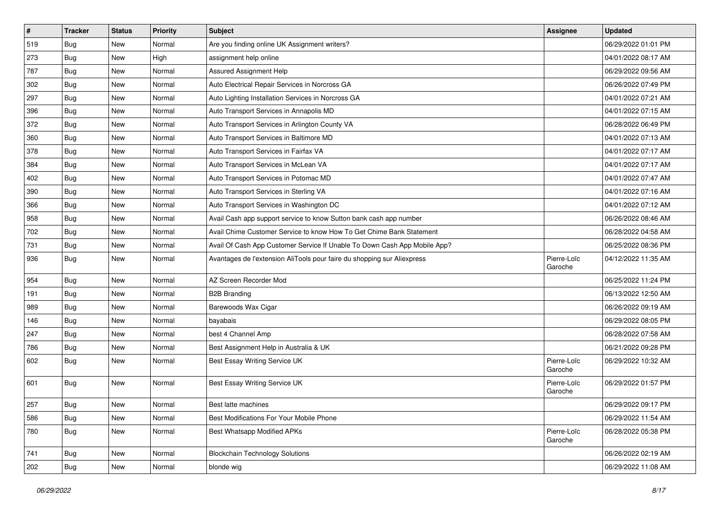| $\vert$ # | <b>Tracker</b> | <b>Status</b> | <b>Priority</b> | <b>Subject</b>                                                            | <b>Assignee</b>        | <b>Updated</b>      |
|-----------|----------------|---------------|-----------------|---------------------------------------------------------------------------|------------------------|---------------------|
| 519       | Bug            | New           | Normal          | Are you finding online UK Assignment writers?                             |                        | 06/29/2022 01:01 PM |
| 273       | Bug            | <b>New</b>    | High            | assignment help online                                                    |                        | 04/01/2022 08:17 AM |
| 787       | <b>Bug</b>     | New           | Normal          | Assured Assignment Help                                                   |                        | 06/29/2022 09:56 AM |
| 302       | <b>Bug</b>     | New           | Normal          | Auto Electrical Repair Services in Norcross GA                            |                        | 06/26/2022 07:49 PM |
| 297       | Bug            | <b>New</b>    | Normal          | Auto Lighting Installation Services in Norcross GA                        |                        | 04/01/2022 07:21 AM |
| 396       | <b>Bug</b>     | New           | Normal          | Auto Transport Services in Annapolis MD                                   |                        | 04/01/2022 07:15 AM |
| 372       | Bug            | <b>New</b>    | Normal          | Auto Transport Services in Arlington County VA                            |                        | 06/28/2022 06:49 PM |
| 360       | <b>Bug</b>     | New           | Normal          | Auto Transport Services in Baltimore MD                                   |                        | 04/01/2022 07:13 AM |
| 378       | <b>Bug</b>     | New           | Normal          | Auto Transport Services in Fairfax VA                                     |                        | 04/01/2022 07:17 AM |
| 384       | Bug            | <b>New</b>    | Normal          | Auto Transport Services in McLean VA                                      |                        | 04/01/2022 07:17 AM |
| 402       | <b>Bug</b>     | New           | Normal          | Auto Transport Services in Potomac MD                                     |                        | 04/01/2022 07:47 AM |
| 390       | Bug            | <b>New</b>    | Normal          | Auto Transport Services in Sterling VA                                    |                        | 04/01/2022 07:16 AM |
| 366       | Bug            | New           | Normal          | Auto Transport Services in Washington DC                                  |                        | 04/01/2022 07:12 AM |
| 958       | Bug            | New           | Normal          | Avail Cash app support service to know Sutton bank cash app number        |                        | 06/26/2022 08:46 AM |
| 702       | Bug            | <b>New</b>    | Normal          | Avail Chime Customer Service to know How To Get Chime Bank Statement      |                        | 06/28/2022 04:58 AM |
| 731       | <b>Bug</b>     | New           | Normal          | Avail Of Cash App Customer Service If Unable To Down Cash App Mobile App? |                        | 06/25/2022 08:36 PM |
| 936       | <b>Bug</b>     | New           | Normal          | Avantages de l'extension AliTools pour faire du shopping sur Aliexpress   | Pierre-Loïc<br>Garoche | 04/12/2022 11:35 AM |
| 954       | Bug            | <b>New</b>    | Normal          | AZ Screen Recorder Mod                                                    |                        | 06/25/2022 11:24 PM |
| 191       | <b>Bug</b>     | New           | Normal          | <b>B2B Branding</b>                                                       |                        | 06/13/2022 12:50 AM |
| 989       | Bug            | New           | Normal          | Barewoods Wax Cigar                                                       |                        | 06/26/2022 09:19 AM |
| 146       | <b>Bug</b>     | <b>New</b>    | Normal          | bayabais                                                                  |                        | 06/29/2022 08:05 PM |
| 247       | Bug            | <b>New</b>    | Normal          | best 4 Channel Amp                                                        |                        | 06/28/2022 07:58 AM |
| 786       | <b>Bug</b>     | New           | Normal          | Best Assignment Help in Australia & UK                                    |                        | 06/21/2022 09:28 PM |
| 602       | <b>Bug</b>     | New           | Normal          | Best Essay Writing Service UK                                             | Pierre-Loïc<br>Garoche | 06/29/2022 10:32 AM |
| 601       | Bug            | <b>New</b>    | Normal          | Best Essay Writing Service UK                                             | Pierre-Loïc<br>Garoche | 06/29/2022 01:57 PM |
| 257       | Bug            | New           | Normal          | Best latte machines                                                       |                        | 06/29/2022 09:17 PM |
| 586       | Bug            | New           | Normal          | Best Modifications For Your Mobile Phone                                  |                        | 06/29/2022 11:54 AM |
| 780       | Bug            | New           | Normal          | <b>Best Whatsapp Modified APKs</b>                                        | Pierre-Loïc<br>Garoche | 06/28/2022 05:38 PM |
| 741       | <b>Bug</b>     | New           | Normal          | <b>Blockchain Technology Solutions</b>                                    |                        | 06/26/2022 02:19 AM |
| 202       | <b>Bug</b>     | New           | Normal          | blonde wig                                                                |                        | 06/29/2022 11:08 AM |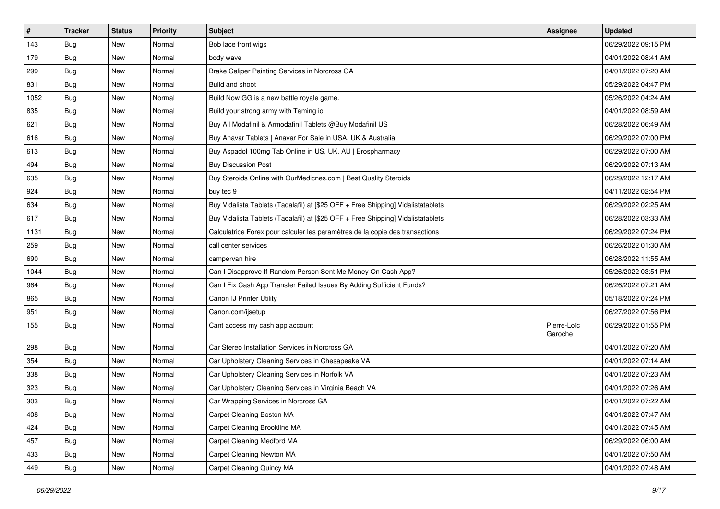| $\vert$ # | Tracker    | <b>Status</b> | <b>Priority</b> | <b>Subject</b>                                                                   | <b>Assignee</b>        | <b>Updated</b>      |
|-----------|------------|---------------|-----------------|----------------------------------------------------------------------------------|------------------------|---------------------|
| 143       | Bug        | New           | Normal          | Bob lace front wigs                                                              |                        | 06/29/2022 09:15 PM |
| 179       | Bug        | <b>New</b>    | Normal          | body wave                                                                        |                        | 04/01/2022 08:41 AM |
| 299       | <b>Bug</b> | New           | Normal          | Brake Caliper Painting Services in Norcross GA                                   |                        | 04/01/2022 07:20 AM |
| 831       | <b>Bug</b> | New           | Normal          | Build and shoot                                                                  |                        | 05/29/2022 04:47 PM |
| 1052      | Bug        | New           | Normal          | Build Now GG is a new battle royale game.                                        |                        | 05/26/2022 04:24 AM |
| 835       | <b>Bug</b> | New           | Normal          | Build your strong army with Taming io                                            |                        | 04/01/2022 08:59 AM |
| 621       | <b>Bug</b> | New           | Normal          | Buy All Modafinil & Armodafinil Tablets @Buy Modafinil US                        |                        | 06/28/2022 06:49 AM |
| 616       | <b>Bug</b> | New           | Normal          | Buy Anavar Tablets   Anavar For Sale in USA, UK & Australia                      |                        | 06/29/2022 07:00 PM |
| 613       | <b>Bug</b> | New           | Normal          | Buy Aspadol 100mg Tab Online in US, UK, AU   Erospharmacy                        |                        | 06/29/2022 07:00 AM |
| 494       | Bug        | New           | Normal          | <b>Buy Discussion Post</b>                                                       |                        | 06/29/2022 07:13 AM |
| 635       | <b>Bug</b> | New           | Normal          | Buy Steroids Online with OurMedicnes.com   Best Quality Steroids                 |                        | 06/29/2022 12:17 AM |
| 924       | Bug        | New           | Normal          | buy tec 9                                                                        |                        | 04/11/2022 02:54 PM |
| 634       | Bug        | New           | Normal          | Buy Vidalista Tablets (Tadalafil) at [\$25 OFF + Free Shipping] Vidalistatablets |                        | 06/29/2022 02:25 AM |
| 617       | <b>Bug</b> | New           | Normal          | Buy Vidalista Tablets (Tadalafil) at [\$25 OFF + Free Shipping] Vidalistatablets |                        | 06/28/2022 03:33 AM |
| 1131      | Bug        | New           | Normal          | Calculatrice Forex pour calculer les paramètres de la copie des transactions     |                        | 06/29/2022 07:24 PM |
| 259       | <b>Bug</b> | New           | Normal          | call center services                                                             |                        | 06/26/2022 01:30 AM |
| 690       | <b>Bug</b> | New           | Normal          | campervan hire                                                                   |                        | 06/28/2022 11:55 AM |
| 1044      | Bug        | New           | Normal          | Can I Disapprove If Random Person Sent Me Money On Cash App?                     |                        | 05/26/2022 03:51 PM |
| 964       | Bug        | New           | Normal          | Can I Fix Cash App Transfer Failed Issues By Adding Sufficient Funds?            |                        | 06/26/2022 07:21 AM |
| 865       | <b>Bug</b> | New           | Normal          | Canon IJ Printer Utility                                                         |                        | 05/18/2022 07:24 PM |
| 951       | <b>Bug</b> | New           | Normal          | Canon.com/ijsetup                                                                |                        | 06/27/2022 07:56 PM |
| 155       | <b>Bug</b> | New           | Normal          | Cant access my cash app account                                                  | Pierre-Loïc<br>Garoche | 06/29/2022 01:55 PM |
| 298       | <b>Bug</b> | New           | Normal          | Car Stereo Installation Services in Norcross GA                                  |                        | 04/01/2022 07:20 AM |
| 354       | <b>Bug</b> | New           | Normal          | Car Upholstery Cleaning Services in Chesapeake VA                                |                        | 04/01/2022 07:14 AM |
| 338       | <b>Bug</b> | New           | Normal          | Car Upholstery Cleaning Services in Norfolk VA                                   |                        | 04/01/2022 07:23 AM |
| 323       | Bug        | New           | Normal          | Car Upholstery Cleaning Services in Virginia Beach VA                            |                        | 04/01/2022 07:26 AM |
| 303       | <b>Bug</b> | New           | Normal          | Car Wrapping Services in Norcross GA                                             |                        | 04/01/2022 07:22 AM |
| 408       | <b>Bug</b> | New           | Normal          | Carpet Cleaning Boston MA                                                        |                        | 04/01/2022 07:47 AM |
| 424       | Bug        | New           | Normal          | Carpet Cleaning Brookline MA                                                     |                        | 04/01/2022 07:45 AM |
| 457       | <b>Bug</b> | New           | Normal          | Carpet Cleaning Medford MA                                                       |                        | 06/29/2022 06:00 AM |
| 433       | <b>Bug</b> | New           | Normal          | Carpet Cleaning Newton MA                                                        |                        | 04/01/2022 07:50 AM |
| 449       | <b>Bug</b> | New           | Normal          | Carpet Cleaning Quincy MA                                                        |                        | 04/01/2022 07:48 AM |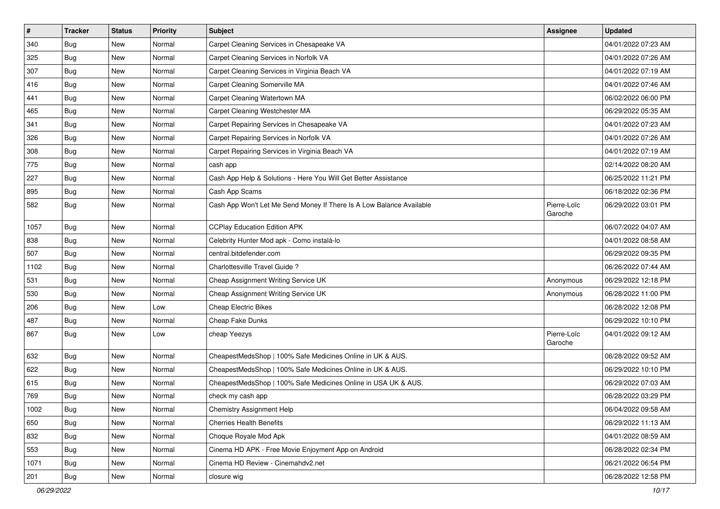| $\pmb{\#}$ | <b>Tracker</b> | <b>Status</b> | <b>Priority</b> | <b>Subject</b>                                                       | Assignee               | <b>Updated</b>      |
|------------|----------------|---------------|-----------------|----------------------------------------------------------------------|------------------------|---------------------|
| 340        | <b>Bug</b>     | New           | Normal          | Carpet Cleaning Services in Chesapeake VA                            |                        | 04/01/2022 07:23 AM |
| 325        | <b>Bug</b>     | New           | Normal          | Carpet Cleaning Services in Norfolk VA                               |                        | 04/01/2022 07:26 AM |
| 307        | Bug            | New           | Normal          | Carpet Cleaning Services in Virginia Beach VA                        |                        | 04/01/2022 07:19 AM |
| 416        | <b>Bug</b>     | New           | Normal          | Carpet Cleaning Somerville MA                                        |                        | 04/01/2022 07:46 AM |
| 441        | Bug            | New           | Normal          | Carpet Cleaning Watertown MA                                         |                        | 06/02/2022 06:00 PM |
| 465        | <b>Bug</b>     | New           | Normal          | Carpet Cleaning Westchester MA                                       |                        | 06/29/2022 05:35 AM |
| 341        | Bug            | New           | Normal          | Carpet Repairing Services in Chesapeake VA                           |                        | 04/01/2022 07:23 AM |
| 326        | <b>Bug</b>     | New           | Normal          | Carpet Repairing Services in Norfolk VA                              |                        | 04/01/2022 07:26 AM |
| 308        | <b>Bug</b>     | New           | Normal          | Carpet Repairing Services in Virginia Beach VA                       |                        | 04/01/2022 07:19 AM |
| 775        | Bug            | New           | Normal          | cash app                                                             |                        | 02/14/2022 08:20 AM |
| 227        | <b>Bug</b>     | New           | Normal          | Cash App Help & Solutions - Here You Will Get Better Assistance      |                        | 06/25/2022 11:21 PM |
| 895        | <b>Bug</b>     | New           | Normal          | Cash App Scams                                                       |                        | 06/18/2022 02:36 PM |
| 582        | <b>Bug</b>     | New           | Normal          | Cash App Won't Let Me Send Money If There Is A Low Balance Available | Pierre-Loïc<br>Garoche | 06/29/2022 03:01 PM |
| 1057       | <b>Bug</b>     | New           | Normal          | <b>CCPlay Education Edition APK</b>                                  |                        | 06/07/2022 04:07 AM |
| 838        | <b>Bug</b>     | New           | Normal          | Celebrity Hunter Mod apk - Como instalá-lo                           |                        | 04/01/2022 08:58 AM |
| 507        | Bug            | New           | Normal          | central.bitdefender.com                                              |                        | 06/29/2022 09:35 PM |
| 1102       | Bug            | New           | Normal          | Charlottesville Travel Guide?                                        |                        | 06/26/2022 07:44 AM |
| 531        | <b>Bug</b>     | New           | Normal          | Cheap Assignment Writing Service UK                                  | Anonymous              | 06/29/2022 12:18 PM |
| 530        | Bug            | New           | Normal          | Cheap Assignment Writing Service UK                                  | Anonymous              | 06/28/2022 11:00 PM |
| 206        | <b>Bug</b>     | New           | Low             | <b>Cheap Electric Bikes</b>                                          |                        | 06/28/2022 12:08 PM |
| 487        | <b>Bug</b>     | New           | Normal          | Cheap Fake Dunks                                                     |                        | 06/29/2022 10:10 PM |
| 867        | <b>Bug</b>     | New           | Low             | cheap Yeezys                                                         | Pierre-Loïc<br>Garoche | 04/01/2022 09:12 AM |
| 632        | <b>Bug</b>     | New           | Normal          | CheapestMedsShop   100% Safe Medicines Online in UK & AUS.           |                        | 06/28/2022 09:52 AM |
| 622        | Bug            | New           | Normal          | CheapestMedsShop   100% Safe Medicines Online in UK & AUS.           |                        | 06/29/2022 10:10 PM |
| 615        | <b>Bug</b>     | New           | Normal          | CheapestMedsShop   100% Safe Medicines Online in USA UK & AUS.       |                        | 06/29/2022 07:03 AM |
| 769        | <b>Bug</b>     | New           | Normal          | check my cash app                                                    |                        | 06/28/2022 03:29 PM |
| 1002       | <b>Bug</b>     | New           | Normal          | <b>Chemistry Assignment Help</b>                                     |                        | 06/04/2022 09:58 AM |
| 650        | <b>Bug</b>     | New           | Normal          | <b>Cherries Health Benefits</b>                                      |                        | 06/29/2022 11:13 AM |
| 832        | Bug            | New           | Normal          | Choque Royale Mod Apk                                                |                        | 04/01/2022 08:59 AM |
| 553        | Bug            | New           | Normal          | Cinema HD APK - Free Movie Enjoyment App on Android                  |                        | 06/28/2022 02:34 PM |
| 1071       | Bug            | New           | Normal          | Cinema HD Review - Cinemahdv2.net                                    |                        | 06/21/2022 06:54 PM |
| 201        | <b>Bug</b>     | New           | Normal          | closure wig                                                          |                        | 06/28/2022 12:58 PM |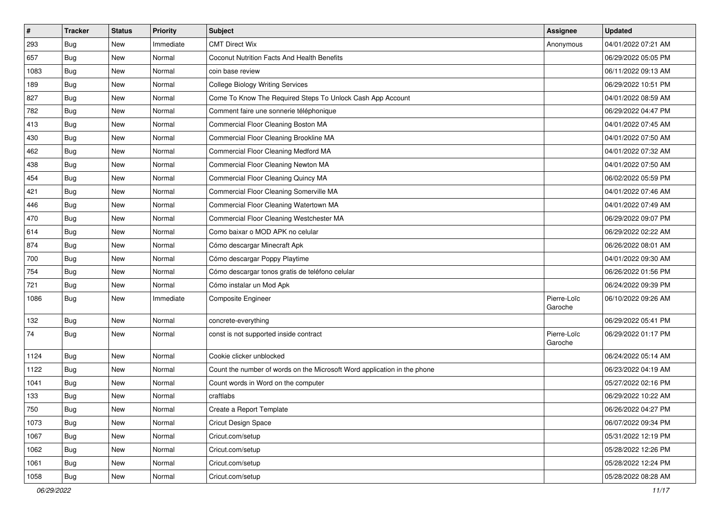| $\vert$ # | <b>Tracker</b> | <b>Status</b> | <b>Priority</b> | <b>Subject</b>                                                           | Assignee               | <b>Updated</b>      |
|-----------|----------------|---------------|-----------------|--------------------------------------------------------------------------|------------------------|---------------------|
| 293       | <b>Bug</b>     | New           | Immediate       | <b>CMT Direct Wix</b>                                                    | Anonymous              | 04/01/2022 07:21 AM |
| 657       | <b>Bug</b>     | <b>New</b>    | Normal          | <b>Coconut Nutrition Facts And Health Benefits</b>                       |                        | 06/29/2022 05:05 PM |
| 1083      | Bug            | New           | Normal          | coin base review                                                         |                        | 06/11/2022 09:13 AM |
| 189       | <b>Bug</b>     | New           | Normal          | <b>College Biology Writing Services</b>                                  |                        | 06/29/2022 10:51 PM |
| 827       | <b>Bug</b>     | <b>New</b>    | Normal          | Come To Know The Required Steps To Unlock Cash App Account               |                        | 04/01/2022 08:59 AM |
| 782       | <b>Bug</b>     | New           | Normal          | Comment faire une sonnerie téléphonique                                  |                        | 06/29/2022 04:47 PM |
| 413       | Bug            | <b>New</b>    | Normal          | Commercial Floor Cleaning Boston MA                                      |                        | 04/01/2022 07:45 AM |
| 430       | <b>Bug</b>     | New           | Normal          | Commercial Floor Cleaning Brookline MA                                   |                        | 04/01/2022 07:50 AM |
| 462       | <b>Bug</b>     | <b>New</b>    | Normal          | Commercial Floor Cleaning Medford MA                                     |                        | 04/01/2022 07:32 AM |
| 438       | Bug            | <b>New</b>    | Normal          | Commercial Floor Cleaning Newton MA                                      |                        | 04/01/2022 07:50 AM |
| 454       | <b>Bug</b>     | New           | Normal          | Commercial Floor Cleaning Quincy MA                                      |                        | 06/02/2022 05:59 PM |
| 421       | <b>Bug</b>     | New           | Normal          | Commercial Floor Cleaning Somerville MA                                  |                        | 04/01/2022 07:46 AM |
| 446       | Bug            | <b>New</b>    | Normal          | Commercial Floor Cleaning Watertown MA                                   |                        | 04/01/2022 07:49 AM |
| 470       | <b>Bug</b>     | <b>New</b>    | Normal          | Commercial Floor Cleaning Westchester MA                                 |                        | 06/29/2022 09:07 PM |
| 614       | <b>Bug</b>     | <b>New</b>    | Normal          | Como baixar o MOD APK no celular                                         |                        | 06/29/2022 02:22 AM |
| 874       | Bug            | New           | Normal          | Cómo descargar Minecraft Apk                                             |                        | 06/26/2022 08:01 AM |
| 700       | <b>Bug</b>     | New           | Normal          | Cómo descargar Poppy Playtime                                            |                        | 04/01/2022 09:30 AM |
| 754       | Bug            | <b>New</b>    | Normal          | Cómo descargar tonos gratis de teléfono celular                          |                        | 06/26/2022 01:56 PM |
| 721       | Bug            | New           | Normal          | Cómo instalar un Mod Apk                                                 |                        | 06/24/2022 09:39 PM |
| 1086      | <b>Bug</b>     | New           | Immediate       | Composite Engineer                                                       | Pierre-Loïc<br>Garoche | 06/10/2022 09:26 AM |
| 132       | <b>Bug</b>     | <b>New</b>    | Normal          | concrete-everything                                                      |                        | 06/29/2022 05:41 PM |
| 74        | <b>Bug</b>     | New           | Normal          | const is not supported inside contract                                   | Pierre-Loïc<br>Garoche | 06/29/2022 01:17 PM |
| 1124      | <b>Bug</b>     | <b>New</b>    | Normal          | Cookie clicker unblocked                                                 |                        | 06/24/2022 05:14 AM |
| 1122      | Bug            | <b>New</b>    | Normal          | Count the number of words on the Microsoft Word application in the phone |                        | 06/23/2022 04:19 AM |
| 1041      | <b>Bug</b>     | New           | Normal          | Count words in Word on the computer                                      |                        | 05/27/2022 02:16 PM |
| 133       | <b>Bug</b>     | New           | Normal          | craftlabs                                                                |                        | 06/29/2022 10:22 AM |
| 750       | <b>Bug</b>     | New           | Normal          | Create a Report Template                                                 |                        | 06/26/2022 04:27 PM |
| 1073      | Bug            | New           | Normal          | <b>Cricut Design Space</b>                                               |                        | 06/07/2022 09:34 PM |
| 1067      | <b>Bug</b>     | <b>New</b>    | Normal          | Cricut.com/setup                                                         |                        | 05/31/2022 12:19 PM |
| 1062      | Bug            | New           | Normal          | Cricut.com/setup                                                         |                        | 05/28/2022 12:26 PM |
| 1061      | <b>Bug</b>     | New           | Normal          | Cricut.com/setup                                                         |                        | 05/28/2022 12:24 PM |
| 1058      | Bug            | New           | Normal          | Cricut.com/setup                                                         |                        | 05/28/2022 08:28 AM |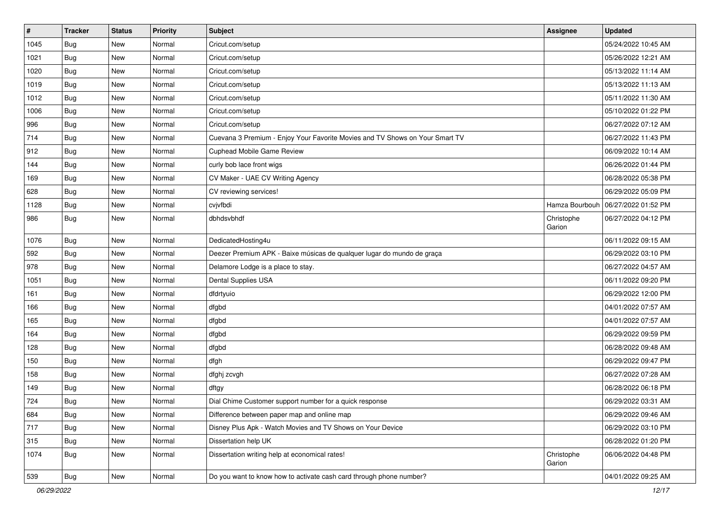| $\pmb{\#}$ | <b>Tracker</b> | <b>Status</b> | <b>Priority</b> | <b>Subject</b>                                                               | Assignee             | <b>Updated</b>      |
|------------|----------------|---------------|-----------------|------------------------------------------------------------------------------|----------------------|---------------------|
| 1045       | Bug            | New           | Normal          | Cricut.com/setup                                                             |                      | 05/24/2022 10:45 AM |
| 1021       | <b>Bug</b>     | New           | Normal          | Cricut.com/setup                                                             |                      | 05/26/2022 12:21 AM |
| 1020       | Bug            | New           | Normal          | Cricut.com/setup                                                             |                      | 05/13/2022 11:14 AM |
| 1019       | Bug            | New           | Normal          | Cricut.com/setup                                                             |                      | 05/13/2022 11:13 AM |
| 1012       | <b>Bug</b>     | New           | Normal          | Cricut.com/setup                                                             |                      | 05/11/2022 11:30 AM |
| 1006       | Bug            | New           | Normal          | Cricut.com/setup                                                             |                      | 05/10/2022 01:22 PM |
| 996        | Bug            | New           | Normal          | Cricut.com/setup                                                             |                      | 06/27/2022 07:12 AM |
| 714        | <b>Bug</b>     | New           | Normal          | Cuevana 3 Premium - Enjoy Your Favorite Movies and TV Shows on Your Smart TV |                      | 06/27/2022 11:43 PM |
| 912        | <b>Bug</b>     | New           | Normal          | Cuphead Mobile Game Review                                                   |                      | 06/09/2022 10:14 AM |
| 144        | Bug            | New           | Normal          | curly bob lace front wigs                                                    |                      | 06/26/2022 01:44 PM |
| 169        | <b>Bug</b>     | New           | Normal          | CV Maker - UAE CV Writing Agency                                             |                      | 06/28/2022 05:38 PM |
| 628        | Bug            | New           | Normal          | CV reviewing services!                                                       |                      | 06/29/2022 05:09 PM |
| 1128       | Bug            | New           | Normal          | cvjvfbdi                                                                     | Hamza Bourbouh       | 06/27/2022 01:52 PM |
| 986        | <b>Bug</b>     | New           | Normal          | dbhdsvbhdf                                                                   | Christophe<br>Garion | 06/27/2022 04:12 PM |
| 1076       | Bug            | New           | Normal          | DedicatedHosting4u                                                           |                      | 06/11/2022 09:15 AM |
| 592        | <b>Bug</b>     | New           | Normal          | Deezer Premium APK - Baixe músicas de qualquer lugar do mundo de graça       |                      | 06/29/2022 03:10 PM |
| 978        | Bug            | New           | Normal          | Delamore Lodge is a place to stay.                                           |                      | 06/27/2022 04:57 AM |
| 1051       | <b>Bug</b>     | New           | Normal          | Dental Supplies USA                                                          |                      | 06/11/2022 09:20 PM |
| 161        | Bug            | New           | Normal          | dfdrtyuio                                                                    |                      | 06/29/2022 12:00 PM |
| 166        | Bug            | New           | Normal          | dfgbd                                                                        |                      | 04/01/2022 07:57 AM |
| 165        | <b>Bug</b>     | New           | Normal          | dfgbd                                                                        |                      | 04/01/2022 07:57 AM |
| 164        | <b>Bug</b>     | New           | Normal          | dfgbd                                                                        |                      | 06/29/2022 09:59 PM |
| 128        | <b>Bug</b>     | New           | Normal          | dfgbd                                                                        |                      | 06/28/2022 09:48 AM |
| 150        | Bug            | New           | Normal          | dfgh                                                                         |                      | 06/29/2022 09:47 PM |
| 158        | <b>Bug</b>     | New           | Normal          | dfghj zcvgh                                                                  |                      | 06/27/2022 07:28 AM |
| 149        | <b>Bug</b>     | New           | Normal          | dftgy                                                                        |                      | 06/28/2022 06:18 PM |
| 724        | <b>Bug</b>     | New           | Normal          | Dial Chime Customer support number for a quick response                      |                      | 06/29/2022 03:31 AM |
| 684        | <b>Bug</b>     | New           | Normal          | Difference between paper map and online map                                  |                      | 06/29/2022 09:46 AM |
| 717        | Bug            | New           | Normal          | Disney Plus Apk - Watch Movies and TV Shows on Your Device                   |                      | 06/29/2022 03:10 PM |
| 315        | <b>Bug</b>     | New           | Normal          | Dissertation help UK                                                         |                      | 06/28/2022 01:20 PM |
| 1074       | <b>Bug</b>     | New           | Normal          | Dissertation writing help at economical rates!                               | Christophe<br>Garion | 06/06/2022 04:48 PM |
| 539        | <b>Bug</b>     | New           | Normal          | Do you want to know how to activate cash card through phone number?          |                      | 04/01/2022 09:25 AM |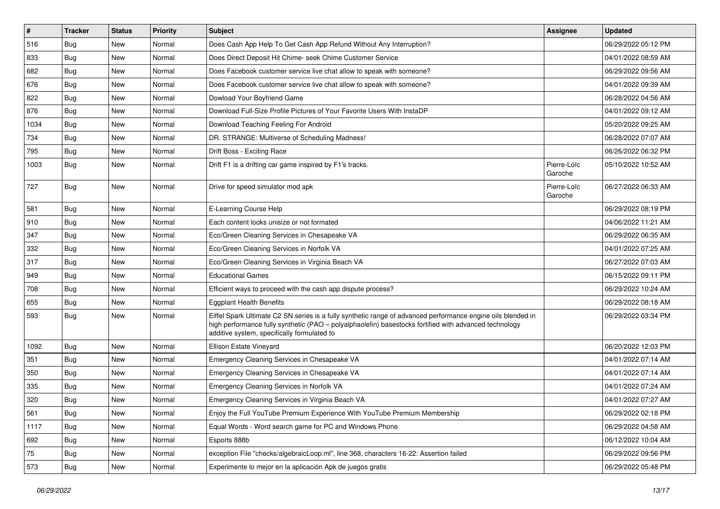| $\pmb{\sharp}$ | <b>Tracker</b> | <b>Status</b> | <b>Priority</b> | <b>Subject</b>                                                                                                                                                                                                                                                        | <b>Assignee</b>        | <b>Updated</b>      |
|----------------|----------------|---------------|-----------------|-----------------------------------------------------------------------------------------------------------------------------------------------------------------------------------------------------------------------------------------------------------------------|------------------------|---------------------|
| 516            | <b>Bug</b>     | New           | Normal          | Does Cash App Help To Get Cash App Refund Without Any Interruption?                                                                                                                                                                                                   |                        | 06/29/2022 05:12 PM |
| 833            | Bug            | New           | Normal          | Does Direct Deposit Hit Chime- seek Chime Customer Service                                                                                                                                                                                                            |                        | 04/01/2022 08:59 AM |
| 682            | Bug            | New           | Normal          | Does Facebook customer service live chat allow to speak with someone?                                                                                                                                                                                                 |                        | 06/29/2022 09:56 AM |
| 676            | Bug            | New           | Normal          | Does Facebook customer service live chat allow to speak with someone?                                                                                                                                                                                                 |                        | 04/01/2022 09:39 AM |
| 822            | <b>Bug</b>     | <b>New</b>    | Normal          | Dowload Your Boyfriend Game                                                                                                                                                                                                                                           |                        | 06/28/2022 04:56 AM |
| 876            | Bug            | New           | Normal          | Download Full-Size Profile Pictures of Your Favorite Users With InstaDP                                                                                                                                                                                               |                        | 04/01/2022 09:12 AM |
| 1034           | Bug            | New           | Normal          | Download Teaching Feeling For Android                                                                                                                                                                                                                                 |                        | 05/20/2022 09:25 AM |
| 734            | Bug            | New           | Normal          | DR. STRANGE: Multiverse of Scheduling Madness!                                                                                                                                                                                                                        |                        | 06/28/2022 07:07 AM |
| 795            | Bug            | New           | Normal          | Drift Boss - Exciting Race                                                                                                                                                                                                                                            |                        | 06/26/2022 06:32 PM |
| 1003           | Bug            | New           | Normal          | Drift F1 is a drifting car game inspired by F1's tracks.                                                                                                                                                                                                              | Pierre-Loïc<br>Garoche | 05/10/2022 10:52 AM |
| 727            | Bug            | New           | Normal          | Drive for speed simulator mod apk                                                                                                                                                                                                                                     | Pierre-Loïc<br>Garoche | 06/27/2022 06:33 AM |
| 581            | Bug            | New           | Normal          | E-Learning Course Help                                                                                                                                                                                                                                                |                        | 06/29/2022 08:19 PM |
| 910            | Bug            | New           | Normal          | Each content looks unisize or not formated                                                                                                                                                                                                                            |                        | 04/06/2022 11:21 AM |
| 347            | Bug            | New           | Normal          | Eco/Green Cleaning Services in Chesapeake VA                                                                                                                                                                                                                          |                        | 06/29/2022 06:35 AM |
| 332            | Bug            | New           | Normal          | Eco/Green Cleaning Services in Norfolk VA                                                                                                                                                                                                                             |                        | 04/01/2022 07:25 AM |
| 317            | Bug            | New           | Normal          | Eco/Green Cleaning Services in Virginia Beach VA                                                                                                                                                                                                                      |                        | 06/27/2022 07:03 AM |
| 949            | <b>Bug</b>     | New           | Normal          | <b>Educational Games</b>                                                                                                                                                                                                                                              |                        | 06/15/2022 09:11 PM |
| 708            | Bug            | New           | Normal          | Efficient ways to proceed with the cash app dispute process?                                                                                                                                                                                                          |                        | 06/29/2022 10:24 AM |
| 655            | Bug            | <b>New</b>    | Normal          | <b>Eggplant Health Benefits</b>                                                                                                                                                                                                                                       |                        | 06/29/2022 08:18 AM |
| 593            | Bug            | New           | Normal          | Eiffel Spark Ultimate C2 SN series is a fully synthetic range of advanced performance engine oils blended in<br>high performance fully synthetic (PAO - polyalphaolefin) basestocks fortified with advanced technology<br>additive system, specifically formulated to |                        | 06/29/2022 03:34 PM |
| 1092           | <b>Bug</b>     | New           | Normal          | Ellison Estate Vineyard                                                                                                                                                                                                                                               |                        | 06/20/2022 12:03 PM |
| 351            | Bug            | New           | Normal          | Emergency Cleaning Services in Chesapeake VA                                                                                                                                                                                                                          |                        | 04/01/2022 07:14 AM |
| 350            | <b>Bug</b>     | New           | Normal          | Emergency Cleaning Services in Chesapeake VA                                                                                                                                                                                                                          |                        | 04/01/2022 07:14 AM |
| 335            | Bug            | New           | Normal          | Emergency Cleaning Services in Norfolk VA                                                                                                                                                                                                                             |                        | 04/01/2022 07:24 AM |
| 320            | Bug            | New           | Normal          | Emergency Cleaning Services in Virginia Beach VA                                                                                                                                                                                                                      |                        | 04/01/2022 07:27 AM |
| 561            | Bug            | New           | Normal          | Enjoy the Full YouTube Premium Experience With YouTube Premium Membership                                                                                                                                                                                             |                        | 06/29/2022 02:18 PM |
| 1117           | <b>Bug</b>     | New           | Normal          | Equal Words - Word search game for PC and Windows Phone                                                                                                                                                                                                               |                        | 06/29/2022 04:58 AM |
| 692            | <b>Bug</b>     | New           | Normal          | Esports 888b                                                                                                                                                                                                                                                          |                        | 06/12/2022 10:04 AM |
| $75\,$         | <b>Bug</b>     | New           | Normal          | exception File "checks/algebraicLoop.ml", line 368, characters 16-22: Assertion failed                                                                                                                                                                                |                        | 06/29/2022 09:56 PM |
| 573            | Bug            | New           | Normal          | Experimente lo mejor en la aplicación Apk de juegos gratis                                                                                                                                                                                                            |                        | 06/29/2022 05:48 PM |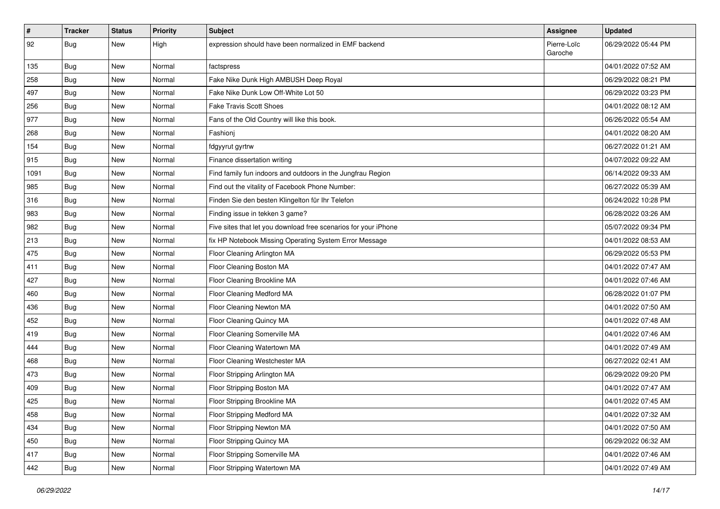| #    | Tracker    | <b>Status</b> | <b>Priority</b> | <b>Subject</b>                                                  | Assignee               | <b>Updated</b>      |
|------|------------|---------------|-----------------|-----------------------------------------------------------------|------------------------|---------------------|
| 92   | <b>Bug</b> | New           | High            | expression should have been normalized in EMF backend           | Pierre-Loïc<br>Garoche | 06/29/2022 05:44 PM |
| 135  | <b>Bug</b> | New           | Normal          | factspress                                                      |                        | 04/01/2022 07:52 AM |
| 258  | <b>Bug</b> | New           | Normal          | Fake Nike Dunk High AMBUSH Deep Royal                           |                        | 06/29/2022 08:21 PM |
| 497  | Bug        | <b>New</b>    | Normal          | Fake Nike Dunk Low Off-White Lot 50                             |                        | 06/29/2022 03:23 PM |
| 256  | <b>Bug</b> | New           | Normal          | <b>Fake Travis Scott Shoes</b>                                  |                        | 04/01/2022 08:12 AM |
| 977  | <b>Bug</b> | New           | Normal          | Fans of the Old Country will like this book.                    |                        | 06/26/2022 05:54 AM |
| 268  | <b>Bug</b> | New           | Normal          | Fashioni                                                        |                        | 04/01/2022 08:20 AM |
| 154  | <b>Bug</b> | New           | Normal          | fdgyyrut gyrtrw                                                 |                        | 06/27/2022 01:21 AM |
| 915  | Bug        | <b>New</b>    | Normal          | Finance dissertation writing                                    |                        | 04/07/2022 09:22 AM |
| 1091 | <b>Bug</b> | New           | Normal          | Find family fun indoors and outdoors in the Jungfrau Region     |                        | 06/14/2022 09:33 AM |
| 985  | Bug        | New           | Normal          | Find out the vitality of Facebook Phone Number:                 |                        | 06/27/2022 05:39 AM |
| 316  | <b>Bug</b> | New           | Normal          | Finden Sie den besten Klingelton für Ihr Telefon                |                        | 06/24/2022 10:28 PM |
| 983  | <b>Bug</b> | New           | Normal          | Finding issue in tekken 3 game?                                 |                        | 06/28/2022 03:26 AM |
| 982  | Bug        | New           | Normal          | Five sites that let you download free scenarios for your iPhone |                        | 05/07/2022 09:34 PM |
| 213  | <b>Bug</b> | New           | Normal          | fix HP Notebook Missing Operating System Error Message          |                        | 04/01/2022 08:53 AM |
| 475  | <b>Bug</b> | New           | Normal          | Floor Cleaning Arlington MA                                     |                        | 06/29/2022 05:53 PM |
| 411  | Bug        | New           | Normal          | Floor Cleaning Boston MA                                        |                        | 04/01/2022 07:47 AM |
| 427  | Bug        | New           | Normal          | Floor Cleaning Brookline MA                                     |                        | 04/01/2022 07:46 AM |
| 460  | <b>Bug</b> | New           | Normal          | Floor Cleaning Medford MA                                       |                        | 06/28/2022 01:07 PM |
| 436  | Bug        | New           | Normal          | Floor Cleaning Newton MA                                        |                        | 04/01/2022 07:50 AM |
| 452  | <b>Bug</b> | New           | Normal          | Floor Cleaning Quincy MA                                        |                        | 04/01/2022 07:48 AM |
| 419  | Bug        | <b>New</b>    | Normal          | Floor Cleaning Somerville MA                                    |                        | 04/01/2022 07:46 AM |
| 444  | <b>Bug</b> | New           | Normal          | Floor Cleaning Watertown MA                                     |                        | 04/01/2022 07:49 AM |
| 468  | <b>Bug</b> | New           | Normal          | Floor Cleaning Westchester MA                                   |                        | 06/27/2022 02:41 AM |
| 473  | <b>Bug</b> | New           | Normal          | Floor Stripping Arlington MA                                    |                        | 06/29/2022 09:20 PM |
| 409  | <b>Bug</b> | New           | Normal          | Floor Stripping Boston MA                                       |                        | 04/01/2022 07:47 AM |
| 425  | Bug        | New           | Normal          | Floor Stripping Brookline MA                                    |                        | 04/01/2022 07:45 AM |
| 458  | Bug        | New           | Normal          | Floor Stripping Medford MA                                      |                        | 04/01/2022 07:32 AM |
| 434  | Bug        | New           | Normal          | Floor Stripping Newton MA                                       |                        | 04/01/2022 07:50 AM |
| 450  | Bug        | <b>New</b>    | Normal          | Floor Stripping Quincy MA                                       |                        | 06/29/2022 06:32 AM |
| 417  | <b>Bug</b> | New           | Normal          | Floor Stripping Somerville MA                                   |                        | 04/01/2022 07:46 AM |
| 442  | <b>Bug</b> | New           | Normal          | Floor Stripping Watertown MA                                    |                        | 04/01/2022 07:49 AM |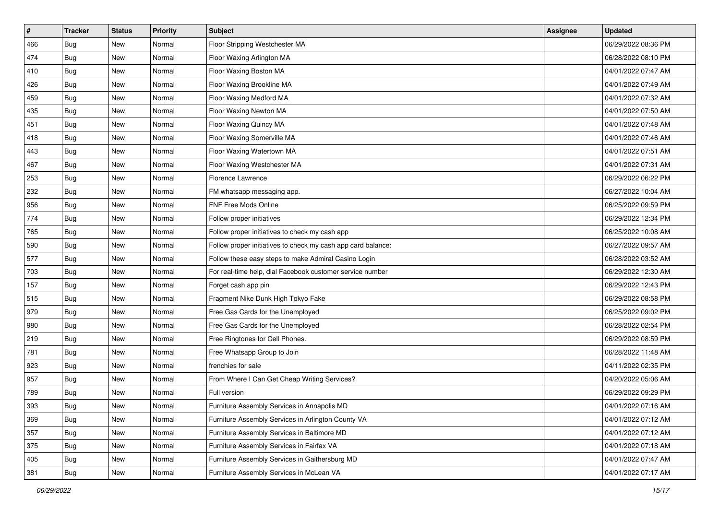| $\vert$ # | <b>Tracker</b> | <b>Status</b> | <b>Priority</b> | <b>Subject</b>                                               | <b>Assignee</b> | <b>Updated</b>      |
|-----------|----------------|---------------|-----------------|--------------------------------------------------------------|-----------------|---------------------|
| 466       | <b>Bug</b>     | New           | Normal          | Floor Stripping Westchester MA                               |                 | 06/29/2022 08:36 PM |
| 474       | <b>Bug</b>     | New           | Normal          | Floor Waxing Arlington MA                                    |                 | 06/28/2022 08:10 PM |
| 410       | Bug            | New           | Normal          | Floor Waxing Boston MA                                       |                 | 04/01/2022 07:47 AM |
| 426       | <b>Bug</b>     | New           | Normal          | Floor Waxing Brookline MA                                    |                 | 04/01/2022 07:49 AM |
| 459       | Bug            | <b>New</b>    | Normal          | Floor Waxing Medford MA                                      |                 | 04/01/2022 07:32 AM |
| 435       | <b>Bug</b>     | New           | Normal          | Floor Waxing Newton MA                                       |                 | 04/01/2022 07:50 AM |
| 451       | <b>Bug</b>     | New           | Normal          | Floor Waxing Quincy MA                                       |                 | 04/01/2022 07:48 AM |
| 418       | <b>Bug</b>     | New           | Normal          | Floor Waxing Somerville MA                                   |                 | 04/01/2022 07:46 AM |
| 443       | <b>Bug</b>     | New           | Normal          | Floor Waxing Watertown MA                                    |                 | 04/01/2022 07:51 AM |
| 467       | Bug            | New           | Normal          | Floor Waxing Westchester MA                                  |                 | 04/01/2022 07:31 AM |
| 253       | <b>Bug</b>     | New           | Normal          | Florence Lawrence                                            |                 | 06/29/2022 06:22 PM |
| 232       | <b>Bug</b>     | New           | Normal          | FM whatsapp messaging app.                                   |                 | 06/27/2022 10:04 AM |
| 956       | Bug            | New           | Normal          | FNF Free Mods Online                                         |                 | 06/25/2022 09:59 PM |
| 774       | <b>Bug</b>     | New           | Normal          | Follow proper initiatives                                    |                 | 06/29/2022 12:34 PM |
| 765       | <b>Bug</b>     | New           | Normal          | Follow proper initiatives to check my cash app               |                 | 06/25/2022 10:08 AM |
| 590       | Bug            | New           | Normal          | Follow proper initiatives to check my cash app card balance: |                 | 06/27/2022 09:57 AM |
| 577       | <b>Bug</b>     | New           | Normal          | Follow these easy steps to make Admiral Casino Login         |                 | 06/28/2022 03:52 AM |
| 703       | Bug            | <b>New</b>    | Normal          | For real-time help, dial Facebook customer service number    |                 | 06/29/2022 12:30 AM |
| 157       | <b>Bug</b>     | New           | Normal          | Forget cash app pin                                          |                 | 06/29/2022 12:43 PM |
| 515       | <b>Bug</b>     | New           | Normal          | Fragment Nike Dunk High Tokyo Fake                           |                 | 06/29/2022 08:58 PM |
| 979       | <b>Bug</b>     | New           | Normal          | Free Gas Cards for the Unemployed                            |                 | 06/25/2022 09:02 PM |
| 980       | <b>Bug</b>     | New           | Normal          | Free Gas Cards for the Unemployed                            |                 | 06/28/2022 02:54 PM |
| 219       | Bug            | <b>New</b>    | Normal          | Free Ringtones for Cell Phones.                              |                 | 06/29/2022 08:59 PM |
| 781       | <b>Bug</b>     | New           | Normal          | Free Whatsapp Group to Join                                  |                 | 06/28/2022 11:48 AM |
| 923       | <b>Bug</b>     | New           | Normal          | frenchies for sale                                           |                 | 04/11/2022 02:35 PM |
| 957       | Bug            | New           | Normal          | From Where I Can Get Cheap Writing Services?                 |                 | 04/20/2022 05:06 AM |
| 789       | <b>Bug</b>     | New           | Normal          | Full version                                                 |                 | 06/29/2022 09:29 PM |
| 393       | <b>Bug</b>     | New           | Normal          | Furniture Assembly Services in Annapolis MD                  |                 | 04/01/2022 07:16 AM |
| 369       | Bug            | New           | Normal          | Furniture Assembly Services in Arlington County VA           |                 | 04/01/2022 07:12 AM |
| 357       | <b>Bug</b>     | New           | Normal          | Furniture Assembly Services in Baltimore MD                  |                 | 04/01/2022 07:12 AM |
| 375       | <b>Bug</b>     | New           | Normal          | Furniture Assembly Services in Fairfax VA                    |                 | 04/01/2022 07:18 AM |
| 405       | <b>Bug</b>     | New           | Normal          | Furniture Assembly Services in Gaithersburg MD               |                 | 04/01/2022 07:47 AM |
| 381       | <b>Bug</b>     | New           | Normal          | Furniture Assembly Services in McLean VA                     |                 | 04/01/2022 07:17 AM |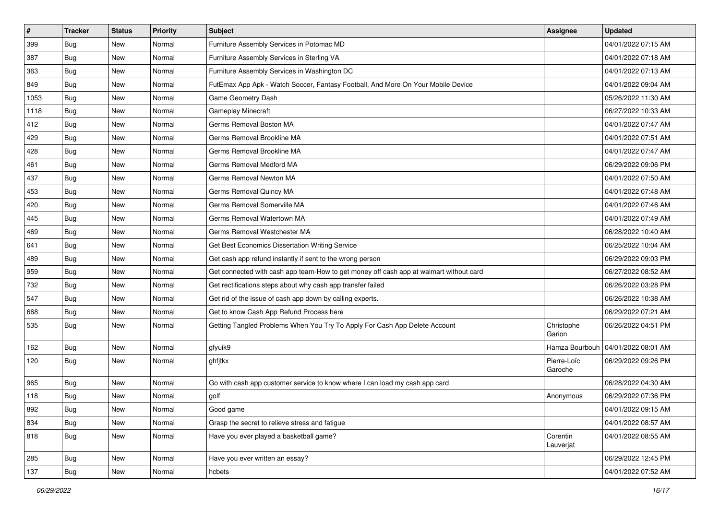| #    | <b>Tracker</b> | <b>Status</b> | <b>Priority</b> | <b>Subject</b>                                                                         | <b>Assignee</b>        | <b>Updated</b>      |
|------|----------------|---------------|-----------------|----------------------------------------------------------------------------------------|------------------------|---------------------|
| 399  | Bug            | New           | Normal          | Furniture Assembly Services in Potomac MD                                              |                        | 04/01/2022 07:15 AM |
| 387  | Bug            | <b>New</b>    | Normal          | Furniture Assembly Services in Sterling VA                                             |                        | 04/01/2022 07:18 AM |
| 363  | Bug            | New           | Normal          | Furniture Assembly Services in Washington DC                                           |                        | 04/01/2022 07:13 AM |
| 849  | Bug            | New           | Normal          | FutEmax App Apk - Watch Soccer, Fantasy Football, And More On Your Mobile Device       |                        | 04/01/2022 09:04 AM |
| 1053 | <b>Bug</b>     | <b>New</b>    | Normal          | Game Geometry Dash                                                                     |                        | 05/26/2022 11:30 AM |
| 1118 | Bug            | New           | Normal          | <b>Gameplay Minecraft</b>                                                              |                        | 06/27/2022 10:33 AM |
| 412  | Bug            | New           | Normal          | Germs Removal Boston MA                                                                |                        | 04/01/2022 07:47 AM |
| 429  | Bug            | New           | Normal          | Germs Removal Brookline MA                                                             |                        | 04/01/2022 07:51 AM |
| 428  | Bug            | New           | Normal          | Germs Removal Brookline MA                                                             |                        | 04/01/2022 07:47 AM |
| 461  | Bug            | <b>New</b>    | Normal          | Germs Removal Medford MA                                                               |                        | 06/29/2022 09:06 PM |
| 437  | <b>Bug</b>     | New           | Normal          | Germs Removal Newton MA                                                                |                        | 04/01/2022 07:50 AM |
| 453  | Bug            | New           | Normal          | Germs Removal Quincy MA                                                                |                        | 04/01/2022 07:48 AM |
| 420  | Bug            | New           | Normal          | Germs Removal Somerville MA                                                            |                        | 04/01/2022 07:46 AM |
| 445  | <b>Bug</b>     | New           | Normal          | Germs Removal Watertown MA                                                             |                        | 04/01/2022 07:49 AM |
| 469  | Bug            | New           | Normal          | Germs Removal Westchester MA                                                           |                        | 06/28/2022 10:40 AM |
| 641  | <b>Bug</b>     | New           | Normal          | Get Best Economics Dissertation Writing Service                                        |                        | 06/25/2022 10:04 AM |
| 489  | <b>Bug</b>     | New           | Normal          | Get cash app refund instantly if sent to the wrong person                              |                        | 06/29/2022 09:03 PM |
| 959  | Bug            | New           | Normal          | Get connected with cash app team-How to get money off cash app at walmart without card |                        | 06/27/2022 08:52 AM |
| 732  | <b>Bug</b>     | New           | Normal          | Get rectifications steps about why cash app transfer failed                            |                        | 06/26/2022 03:28 PM |
| 547  | Bug            | New           | Normal          | Get rid of the issue of cash app down by calling experts.                              |                        | 06/26/2022 10:38 AM |
| 668  | Bug            | New           | Normal          | Get to know Cash App Refund Process here                                               |                        | 06/29/2022 07:21 AM |
| 535  | <b>Bug</b>     | New           | Normal          | Getting Tangled Problems When You Try To Apply For Cash App Delete Account             | Christophe<br>Garion   | 06/26/2022 04:51 PM |
| 162  | Bug            | New           | Normal          | gfyuik9                                                                                | Hamza Bourbouh         | 04/01/2022 08:01 AM |
| 120  | Bug            | New           | Normal          | ghfjtkx                                                                                | Pierre-Loïc<br>Garoche | 06/29/2022 09:26 PM |
| 965  | <b>Bug</b>     | <b>New</b>    | Normal          | Go with cash app customer service to know where I can load my cash app card            |                        | 06/28/2022 04:30 AM |
| 118  | <b>Bug</b>     | New           | Normal          | golf                                                                                   | Anonymous              | 06/29/2022 07:36 PM |
| 892  | Bug            | New           | Normal          | Good game                                                                              |                        | 04/01/2022 09:15 AM |
| 834  | <b>Bug</b>     | New           | Normal          | Grasp the secret to relieve stress and fatigue                                         |                        | 04/01/2022 08:57 AM |
| 818  | Bug            | New           | Normal          | Have you ever played a basketball game?                                                | Corentin<br>Lauverjat  | 04/01/2022 08:55 AM |
| 285  | <b>Bug</b>     | New           | Normal          | Have you ever written an essay?                                                        |                        | 06/29/2022 12:45 PM |
| 137  | <b>Bug</b>     | New           | Normal          | hcbets                                                                                 |                        | 04/01/2022 07:52 AM |